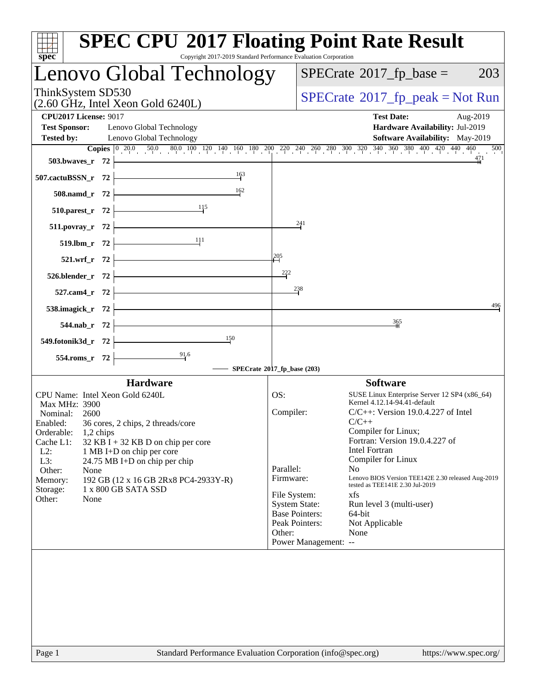| $spec^*$                                                                  | <b>SPEC CPU®2017 Floating Point Rate Result</b><br>Copyright 2017-2019 Standard Performance Evaluation Corporation                                                               |                             |                       |                                                                                                            |
|---------------------------------------------------------------------------|----------------------------------------------------------------------------------------------------------------------------------------------------------------------------------|-----------------------------|-----------------------|------------------------------------------------------------------------------------------------------------|
|                                                                           | Lenovo Global Technology                                                                                                                                                         |                             |                       | $SPECrate^{\circledast}2017$ _fp_base =<br>203                                                             |
| ThinkSystem SD530<br>$(2.60 \text{ GHz}, \text{Intel Xeon Gold } 6240L)$  |                                                                                                                                                                                  |                             |                       | $SPECrate^{\circ}2017$ [p_peak = Not Run                                                                   |
| <b>CPU2017 License: 9017</b><br><b>Test Sponsor:</b><br><b>Tested by:</b> | Lenovo Global Technology<br>Lenovo Global Technology                                                                                                                             |                             |                       | <b>Test Date:</b><br>Aug-2019<br>Hardware Availability: Jul-2019<br><b>Software Availability:</b> May-2019 |
|                                                                           | <b>Copies</b> $\begin{bmatrix} 0 & 20.0 & 50.0 & 80.0 & 100 & 120 & 140 & 160 & 180 & 200 & 240 & 260 & 280 & 300 & 320 & 340 & 360 & 380 & 400 & 420 & 440 & 460 \end{bmatrix}$ |                             |                       | 500                                                                                                        |
| 503.bwaves_r 72                                                           |                                                                                                                                                                                  |                             |                       | 471                                                                                                        |
| 507.cactuBSSN_r 72                                                        | 163                                                                                                                                                                              |                             |                       |                                                                                                            |
| 508.namd_r 72                                                             | 162                                                                                                                                                                              |                             |                       |                                                                                                            |
| 510.parest_r 72                                                           | 115                                                                                                                                                                              |                             |                       |                                                                                                            |
| 511.povray_r 72                                                           |                                                                                                                                                                                  |                             | 241                   |                                                                                                            |
| 519.lbm_r $72$                                                            | $\frac{11}{11}$                                                                                                                                                                  |                             |                       |                                                                                                            |
| 521.wrf_r 72                                                              |                                                                                                                                                                                  | 205                         |                       |                                                                                                            |
| $526.blender_r 72$                                                        |                                                                                                                                                                                  | 222                         |                       |                                                                                                            |
| 527.cam4_r 72                                                             |                                                                                                                                                                                  |                             | 238                   |                                                                                                            |
| 538.imagick_r 72                                                          |                                                                                                                                                                                  |                             |                       | 496                                                                                                        |
|                                                                           | <u> 1989 - Johann Barbara, martxa a</u>                                                                                                                                          |                             |                       | $\frac{365}{5}$                                                                                            |
| 544.nab_r 72                                                              | 150                                                                                                                                                                              |                             |                       |                                                                                                            |
| 549.fotonik3d_r 72                                                        | 91.6                                                                                                                                                                             |                             |                       |                                                                                                            |
| 554.roms_r 72                                                             |                                                                                                                                                                                  | SPECrate®2017_fp_base (203) |                       |                                                                                                            |
|                                                                           | <b>Hardware</b>                                                                                                                                                                  |                             |                       | <b>Software</b>                                                                                            |
| CPU Name: Intel Xeon Gold 6240L                                           |                                                                                                                                                                                  | OS:                         |                       | SUSE Linux Enterprise Server 12 SP4 (x86_64)                                                               |
| Max MHz: 3900<br>Nominal:<br>2600                                         |                                                                                                                                                                                  | Compiler:                   |                       | Kernel 4.12.14-94.41-default<br>$C/C++$ : Version 19.0.4.227 of Intel                                      |
| Enabled:                                                                  | 36 cores, 2 chips, 2 threads/core                                                                                                                                                |                             |                       | $C/C++$                                                                                                    |
| Orderable:<br>1,2 chips                                                   |                                                                                                                                                                                  |                             |                       | Compiler for Linux;                                                                                        |
| Cache L1:<br>$L2$ :                                                       | 32 KB I + 32 KB D on chip per core<br>1 MB I+D on chip per core                                                                                                                  |                             |                       | Fortran: Version 19.0.4.227 of<br><b>Intel Fortran</b>                                                     |
| L3:                                                                       | 24.75 MB I+D on chip per chip                                                                                                                                                    |                             |                       | Compiler for Linux                                                                                         |
| Other:<br>None                                                            |                                                                                                                                                                                  | Parallel:<br>Firmware:      |                       | N <sub>0</sub><br>Lenovo BIOS Version TEE142E 2.30 released Aug-2019                                       |
| Memory:<br>Storage:                                                       | 192 GB (12 x 16 GB 2Rx8 PC4-2933Y-R)<br>1 x 800 GB SATA SSD                                                                                                                      |                             |                       | tested as TEE141E 2.30 Jul-2019                                                                            |
| Other:<br>None                                                            |                                                                                                                                                                                  | File System:                |                       | xfs                                                                                                        |
|                                                                           |                                                                                                                                                                                  | <b>System State:</b>        | <b>Base Pointers:</b> | Run level 3 (multi-user)<br>64-bit                                                                         |
|                                                                           |                                                                                                                                                                                  |                             | Peak Pointers:        | Not Applicable                                                                                             |
|                                                                           |                                                                                                                                                                                  | Other:                      |                       | None                                                                                                       |
|                                                                           |                                                                                                                                                                                  |                             | Power Management: --  |                                                                                                            |
|                                                                           |                                                                                                                                                                                  |                             |                       |                                                                                                            |
|                                                                           |                                                                                                                                                                                  |                             |                       |                                                                                                            |
|                                                                           |                                                                                                                                                                                  |                             |                       |                                                                                                            |
|                                                                           |                                                                                                                                                                                  |                             |                       |                                                                                                            |
|                                                                           |                                                                                                                                                                                  |                             |                       |                                                                                                            |
|                                                                           |                                                                                                                                                                                  |                             |                       |                                                                                                            |
|                                                                           |                                                                                                                                                                                  |                             |                       |                                                                                                            |
| Page 1                                                                    | Standard Performance Evaluation Corporation (info@spec.org)                                                                                                                      |                             |                       | https://www.spec.org/                                                                                      |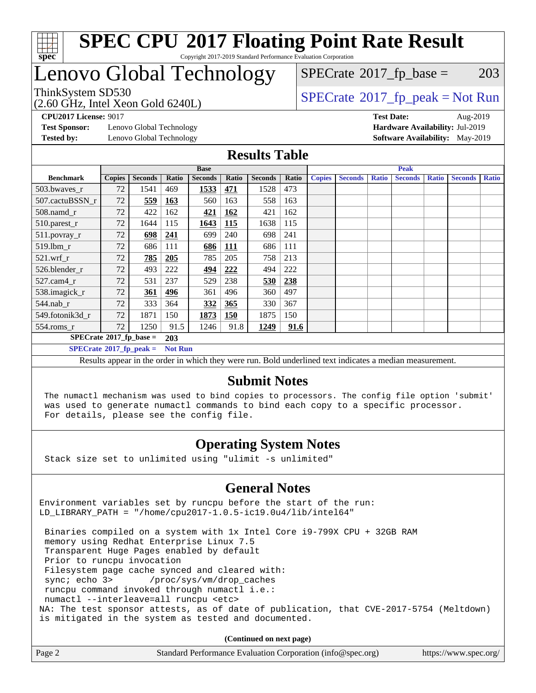

## Lenovo Global Technology

ThinkSystem SD530<br>  $(2.60 \text{ GHz, Intel Yoon Gold } 6240I)$  [SPECrate](http://www.spec.org/auto/cpu2017/Docs/result-fields.html#SPECrate2017fppeak)®[2017\\_fp\\_peak = N](http://www.spec.org/auto/cpu2017/Docs/result-fields.html#SPECrate2017fppeak)ot Run  $SPECTate@2017_fp\_base = 203$ 

(2.60 GHz, Intel Xeon Gold 6240L)

**[Test Sponsor:](http://www.spec.org/auto/cpu2017/Docs/result-fields.html#TestSponsor)** Lenovo Global Technology **[Hardware Availability:](http://www.spec.org/auto/cpu2017/Docs/result-fields.html#HardwareAvailability)** Jul-2019 **[Tested by:](http://www.spec.org/auto/cpu2017/Docs/result-fields.html#Testedby)** Lenovo Global Technology **[Software Availability:](http://www.spec.org/auto/cpu2017/Docs/result-fields.html#SoftwareAvailability)** May-2019

**[CPU2017 License:](http://www.spec.org/auto/cpu2017/Docs/result-fields.html#CPU2017License)** 9017 **[Test Date:](http://www.spec.org/auto/cpu2017/Docs/result-fields.html#TestDate)** Aug-2019

#### **[Results Table](http://www.spec.org/auto/cpu2017/Docs/result-fields.html#ResultsTable)**

|                                        | <b>Base</b>   |                |                |                | <b>Peak</b> |                |       |               |                |              |                |              |                |              |
|----------------------------------------|---------------|----------------|----------------|----------------|-------------|----------------|-------|---------------|----------------|--------------|----------------|--------------|----------------|--------------|
| <b>Benchmark</b>                       | <b>Copies</b> | <b>Seconds</b> | Ratio          | <b>Seconds</b> | Ratio       | <b>Seconds</b> | Ratio | <b>Copies</b> | <b>Seconds</b> | <b>Ratio</b> | <b>Seconds</b> | <b>Ratio</b> | <b>Seconds</b> | <b>Ratio</b> |
| 503.bwayes r                           | 72            | 1541           | 469            | 1533           | <u>471</u>  | 1528           | 473   |               |                |              |                |              |                |              |
| 507.cactuBSSN r                        | 72            | 559            | <b>163</b>     | 560            | 163         | 558            | 163   |               |                |              |                |              |                |              |
| $508$ .namd $r$                        | 72            | 422            | 162            | 421            | 162         | 421            | 162   |               |                |              |                |              |                |              |
| 510.parest_r                           | 72            | 1644           | 115            | 1643           | <b>115</b>  | 1638           | 115   |               |                |              |                |              |                |              |
| 511.povray_r                           | 72            | 698            | 241            | 699            | 240         | 698            | 241   |               |                |              |                |              |                |              |
| 519.lbm r                              | 72            | 686            | 111            | 686            | <b>111</b>  | 686            | 111   |               |                |              |                |              |                |              |
| $521$ .wrf r                           | 72            | 785            | 205            | 785            | 205         | 758            | 213   |               |                |              |                |              |                |              |
| 526.blender r                          | 72            | 493            | 222            | <u>494</u>     | <u>222</u>  | 494            | 222   |               |                |              |                |              |                |              |
| 527.cam4 r                             | 72            | 531            | 237            | 529            | 238         | 530            | 238   |               |                |              |                |              |                |              |
| 538.imagick_r                          | 72            | 361            | 496            | 361            | 496         | 360            | 497   |               |                |              |                |              |                |              |
| $544$ .nab r                           | 72            | 333            | 364            | 332            | 365         | 330            | 367   |               |                |              |                |              |                |              |
| 549.fotonik3d r                        | 72            | 1871           | 150            | 1873           | <b>150</b>  | 1875           | 150   |               |                |              |                |              |                |              |
| $554$ .roms_r                          | 72            | 1250           | 91.5           | 1246           | 91.8        | 1249           | 91.6  |               |                |              |                |              |                |              |
| $SPECrate$ <sup>®</sup> 2017_fp_base = |               |                | 203            |                |             |                |       |               |                |              |                |              |                |              |
| $SPECrate^{\circ}2017$ fp peak =       |               |                | <b>Not Run</b> |                |             |                |       |               |                |              |                |              |                |              |

Results appear in the [order in which they were run.](http://www.spec.org/auto/cpu2017/Docs/result-fields.html#RunOrder) Bold underlined text [indicates a median measurement.](http://www.spec.org/auto/cpu2017/Docs/result-fields.html#Median)

#### **[Submit Notes](http://www.spec.org/auto/cpu2017/Docs/result-fields.html#SubmitNotes)**

 The numactl mechanism was used to bind copies to processors. The config file option 'submit' was used to generate numactl commands to bind each copy to a specific processor. For details, please see the config file.

### **[Operating System Notes](http://www.spec.org/auto/cpu2017/Docs/result-fields.html#OperatingSystemNotes)**

Stack size set to unlimited using "ulimit -s unlimited"

### **[General Notes](http://www.spec.org/auto/cpu2017/Docs/result-fields.html#GeneralNotes)**

Environment variables set by runcpu before the start of the run: LD\_LIBRARY\_PATH = "/home/cpu2017-1.0.5-ic19.0u4/lib/intel64"

 Binaries compiled on a system with 1x Intel Core i9-799X CPU + 32GB RAM memory using Redhat Enterprise Linux 7.5 Transparent Huge Pages enabled by default Prior to runcpu invocation Filesystem page cache synced and cleared with: sync; echo 3> /proc/sys/vm/drop\_caches runcpu command invoked through numactl i.e.: numactl --interleave=all runcpu <etc> NA: The test sponsor attests, as of date of publication, that CVE-2017-5754 (Meltdown) is mitigated in the system as tested and documented.

**(Continued on next page)**

| Page 2 | Standard Performance Evaluation Corporation (info@spec.org) | https://www.spec.org/ |
|--------|-------------------------------------------------------------|-----------------------|
|--------|-------------------------------------------------------------|-----------------------|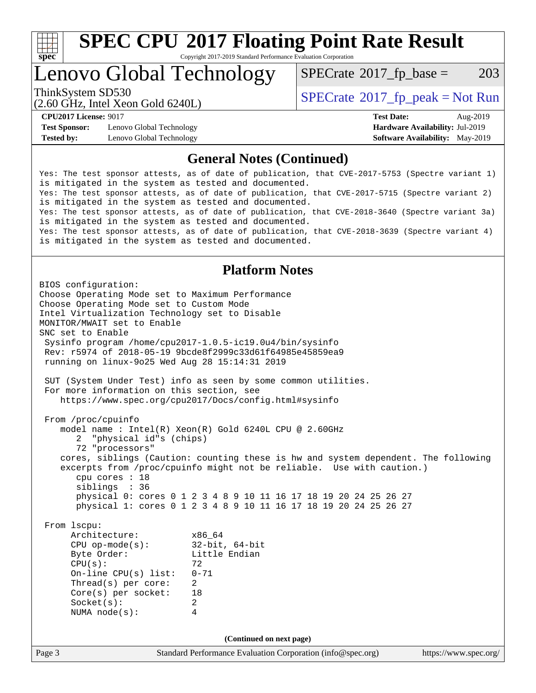

# **[SPEC CPU](http://www.spec.org/auto/cpu2017/Docs/result-fields.html#SPECCPU2017FloatingPointRateResult)[2017 Floating Point Rate Result](http://www.spec.org/auto/cpu2017/Docs/result-fields.html#SPECCPU2017FloatingPointRateResult)**

Copyright 2017-2019 Standard Performance Evaluation Corporation

Lenovo Global Technology

 $SPECTate@2017_fp\_base = 203$ 

(2.60 GHz, Intel Xeon Gold 6240L)

ThinkSystem SD530  $SPECrate@2017_fp\_peak = Not Run$  $SPECrate@2017_fp\_peak = Not Run$ 

**[Test Sponsor:](http://www.spec.org/auto/cpu2017/Docs/result-fields.html#TestSponsor)** Lenovo Global Technology **[Hardware Availability:](http://www.spec.org/auto/cpu2017/Docs/result-fields.html#HardwareAvailability)** Jul-2019 **[Tested by:](http://www.spec.org/auto/cpu2017/Docs/result-fields.html#Testedby)** Lenovo Global Technology **[Software Availability:](http://www.spec.org/auto/cpu2017/Docs/result-fields.html#SoftwareAvailability)** May-2019

**[CPU2017 License:](http://www.spec.org/auto/cpu2017/Docs/result-fields.html#CPU2017License)** 9017 **[Test Date:](http://www.spec.org/auto/cpu2017/Docs/result-fields.html#TestDate)** Aug-2019

#### **[General Notes \(Continued\)](http://www.spec.org/auto/cpu2017/Docs/result-fields.html#GeneralNotes)**

Yes: The test sponsor attests, as of date of publication, that CVE-2017-5753 (Spectre variant 1) is mitigated in the system as tested and documented. Yes: The test sponsor attests, as of date of publication, that CVE-2017-5715 (Spectre variant 2) is mitigated in the system as tested and documented. Yes: The test sponsor attests, as of date of publication, that CVE-2018-3640 (Spectre variant 3a) is mitigated in the system as tested and documented. Yes: The test sponsor attests, as of date of publication, that CVE-2018-3639 (Spectre variant 4) is mitigated in the system as tested and documented.

#### **[Platform Notes](http://www.spec.org/auto/cpu2017/Docs/result-fields.html#PlatformNotes)**

Page 3 Standard Performance Evaluation Corporation [\(info@spec.org\)](mailto:info@spec.org) <https://www.spec.org/> BIOS configuration: Choose Operating Mode set to Maximum Performance Choose Operating Mode set to Custom Mode Intel Virtualization Technology set to Disable MONITOR/MWAIT set to Enable SNC set to Enable Sysinfo program /home/cpu2017-1.0.5-ic19.0u4/bin/sysinfo Rev: r5974 of 2018-05-19 9bcde8f2999c33d61f64985e45859ea9 running on linux-9o25 Wed Aug 28 15:14:31 2019 SUT (System Under Test) info as seen by some common utilities. For more information on this section, see <https://www.spec.org/cpu2017/Docs/config.html#sysinfo> From /proc/cpuinfo model name : Intel(R) Xeon(R) Gold 6240L CPU @ 2.60GHz 2 "physical id"s (chips) 72 "processors" cores, siblings (Caution: counting these is hw and system dependent. The following excerpts from /proc/cpuinfo might not be reliable. Use with caution.) cpu cores : 18 siblings : 36 physical 0: cores 0 1 2 3 4 8 9 10 11 16 17 18 19 20 24 25 26 27 physical 1: cores 0 1 2 3 4 8 9 10 11 16 17 18 19 20 24 25 26 27 From lscpu: Architecture: x86\_64<br>
CPU op-mode(s): 32-bit, 64-bit CPU op-mode(s):<br>Byte Order: Little Endian  $CPU(s):$  72 On-line CPU(s) list: 0-71 Thread(s) per core: 2 Core(s) per socket: 18 Socket(s): 2 NUMA node(s): 4 **(Continued on next page)**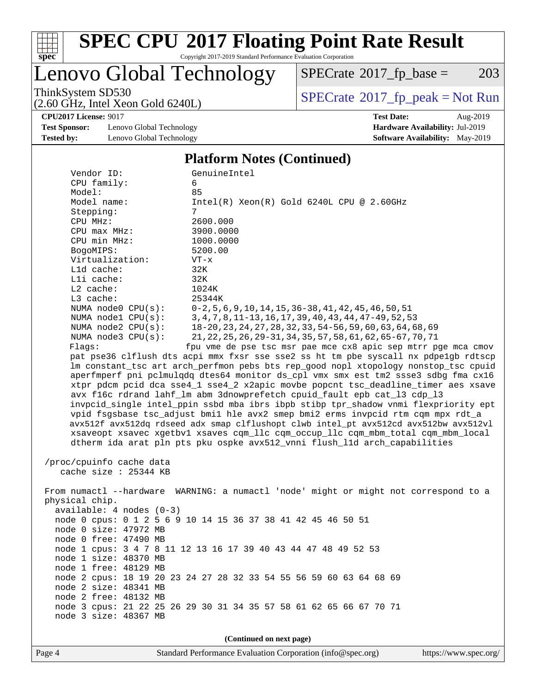

# **[SPEC CPU](http://www.spec.org/auto/cpu2017/Docs/result-fields.html#SPECCPU2017FloatingPointRateResult)[2017 Floating Point Rate Result](http://www.spec.org/auto/cpu2017/Docs/result-fields.html#SPECCPU2017FloatingPointRateResult)**

Copyright 2017-2019 Standard Performance Evaluation Corporation

Lenovo Global Technology

 $SPECTate@2017_fp\_base = 203$ 

(2.60 GHz, Intel Xeon Gold 6240L)

ThinkSystem SD530<br>  $(2.60 \text{ GHz})$  Intel Xeon Gold 6240L)

**[CPU2017 License:](http://www.spec.org/auto/cpu2017/Docs/result-fields.html#CPU2017License)** 9017 **[Test Date:](http://www.spec.org/auto/cpu2017/Docs/result-fields.html#TestDate)** Aug-2019

**[Test Sponsor:](http://www.spec.org/auto/cpu2017/Docs/result-fields.html#TestSponsor)** Lenovo Global Technology **[Hardware Availability:](http://www.spec.org/auto/cpu2017/Docs/result-fields.html#HardwareAvailability)** Jul-2019 **[Tested by:](http://www.spec.org/auto/cpu2017/Docs/result-fields.html#Testedby)** Lenovo Global Technology **[Software Availability:](http://www.spec.org/auto/cpu2017/Docs/result-fields.html#SoftwareAvailability)** May-2019

#### **[Platform Notes \(Continued\)](http://www.spec.org/auto/cpu2017/Docs/result-fields.html#PlatformNotes)**

| Vendor ID:<br>CPU family:                                                            | GenuineIntel<br>6                                                                   |  |  |  |  |  |
|--------------------------------------------------------------------------------------|-------------------------------------------------------------------------------------|--|--|--|--|--|
| Model:                                                                               | 85                                                                                  |  |  |  |  |  |
| Model name:                                                                          | $Intel(R) Xeon(R) Gold 6240L CPU @ 2.60GHz$                                         |  |  |  |  |  |
| Stepping:                                                                            | 7                                                                                   |  |  |  |  |  |
| CPU MHz:                                                                             | 2600.000                                                                            |  |  |  |  |  |
| CPU max MHz:                                                                         | 3900.0000                                                                           |  |  |  |  |  |
| CPU min MHz:                                                                         | 1000.0000                                                                           |  |  |  |  |  |
| BogoMIPS:                                                                            | 5200.00                                                                             |  |  |  |  |  |
| Virtualization:                                                                      | $VT - x$                                                                            |  |  |  |  |  |
| Lld cache:                                                                           | 32K                                                                                 |  |  |  |  |  |
| Lli cache:                                                                           | 32K                                                                                 |  |  |  |  |  |
| L2 cache:                                                                            | 1024K                                                                               |  |  |  |  |  |
| L3 cache:                                                                            | 25344K                                                                              |  |  |  |  |  |
| NUMA node0 CPU(s):                                                                   | $0-2, 5, 6, 9, 10, 14, 15, 36-38, 41, 42, 45, 46, 50, 51$                           |  |  |  |  |  |
| NUMA nodel CPU(s):                                                                   | 3, 4, 7, 8, 11-13, 16, 17, 39, 40, 43, 44, 47-49, 52, 53                            |  |  |  |  |  |
| NUMA $node2$ $CPU(s)$ :                                                              | 18-20, 23, 24, 27, 28, 32, 33, 54-56, 59, 60, 63, 64, 68, 69                        |  |  |  |  |  |
| NUMA node3 CPU(s):                                                                   | 21, 22, 25, 26, 29-31, 34, 35, 57, 58, 61, 62, 65-67, 70, 71                        |  |  |  |  |  |
| Flaqs:                                                                               | fpu vme de pse tsc msr pae mce cx8 apic sep mtrr pge mca cmov                       |  |  |  |  |  |
|                                                                                      | pat pse36 clflush dts acpi mmx fxsr sse sse2 ss ht tm pbe syscall nx pdpe1gb rdtscp |  |  |  |  |  |
|                                                                                      | lm constant_tsc art arch_perfmon pebs bts rep_good nopl xtopology nonstop_tsc cpuid |  |  |  |  |  |
|                                                                                      | aperfmperf pni pclmulqdq dtes64 monitor ds_cpl vmx smx est tm2 ssse3 sdbg fma cx16  |  |  |  |  |  |
|                                                                                      | xtpr pdcm pcid dca sse4_1 sse4_2 x2apic movbe popcnt tsc_deadline_timer aes xsave   |  |  |  |  |  |
|                                                                                      | avx f16c rdrand lahf lm abm 3dnowprefetch cpuid fault epb cat 13 cdp 13             |  |  |  |  |  |
|                                                                                      | invpcid_single intel_ppin ssbd mba ibrs ibpb stibp tpr_shadow vnmi flexpriority ept |  |  |  |  |  |
| vpid fsgsbase tsc_adjust bmil hle avx2 smep bmi2 erms invpcid rtm cqm mpx rdt_a      |                                                                                     |  |  |  |  |  |
| avx512f avx512dq rdseed adx smap clflushopt clwb intel_pt avx512cd avx512bw avx512vl |                                                                                     |  |  |  |  |  |
|                                                                                      | xsaveopt xsavec xgetbvl xsaves cqm_llc cqm_occup_llc cqm_mbm_total cqm_mbm_local    |  |  |  |  |  |
| dtherm ida arat pln pts pku ospke avx512_vnni flush_lld arch_capabilities            |                                                                                     |  |  |  |  |  |
|                                                                                      |                                                                                     |  |  |  |  |  |
| /proc/cpuinfo cache data<br>cache size : 25344 KB                                    |                                                                                     |  |  |  |  |  |
|                                                                                      |                                                                                     |  |  |  |  |  |
| From numactl --hardware WARNING: a numactl 'node' might or might not correspond to a |                                                                                     |  |  |  |  |  |
| physical chip.                                                                       |                                                                                     |  |  |  |  |  |
| $available: 4 nodes (0-3)$                                                           |                                                                                     |  |  |  |  |  |
|                                                                                      | node 0 cpus: 0 1 2 5 6 9 10 14 15 36 37 38 41 42 45 46 50 51                        |  |  |  |  |  |
| node 0 size: 47972 MB                                                                |                                                                                     |  |  |  |  |  |
| node 0 free: 47490 MB                                                                |                                                                                     |  |  |  |  |  |
|                                                                                      | node 1 cpus: 3 4 7 8 11 12 13 16 17 39 40 43 44 47 48 49 52 53                      |  |  |  |  |  |
| node 1 size: 48370 MB                                                                |                                                                                     |  |  |  |  |  |
| node 1 free: 48129 MB                                                                |                                                                                     |  |  |  |  |  |
|                                                                                      | node 2 cpus: 18 19 20 23 24 27 28 32 33 54 55 56 59 60 63 64 68 69                  |  |  |  |  |  |
| node 2 size: 48341 MB                                                                |                                                                                     |  |  |  |  |  |
| node 2 free: 48132 MB                                                                |                                                                                     |  |  |  |  |  |
|                                                                                      | node 3 cpus: 21 22 25 26 29 30 31 34 35 57 58 61 62 65 66 67 70 71                  |  |  |  |  |  |
| node 3 size: 48367 MB                                                                |                                                                                     |  |  |  |  |  |
|                                                                                      |                                                                                     |  |  |  |  |  |
| (Continued on next page)                                                             |                                                                                     |  |  |  |  |  |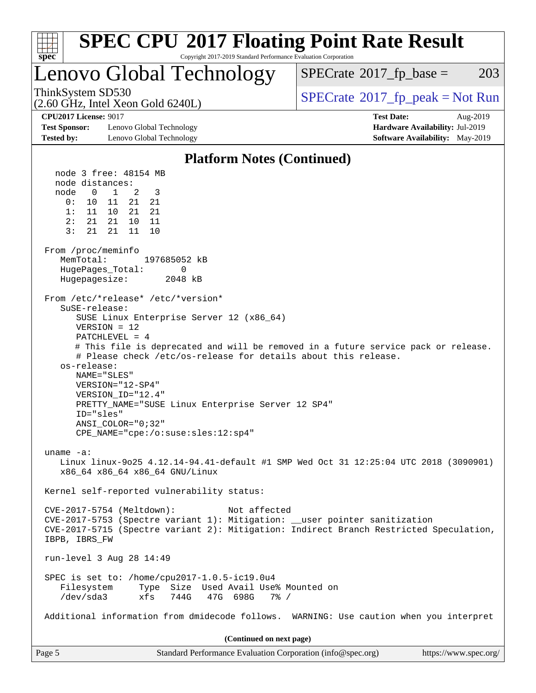| <b>SPEC CPU®2017 Floating Point Rate Result</b><br>Copyright 2017-2019 Standard Performance Evaluation Corporation<br>$spec^*$                                                                                                                                                                                                                                                                                                                                                                                           |                                                                                                            |
|--------------------------------------------------------------------------------------------------------------------------------------------------------------------------------------------------------------------------------------------------------------------------------------------------------------------------------------------------------------------------------------------------------------------------------------------------------------------------------------------------------------------------|------------------------------------------------------------------------------------------------------------|
| Lenovo Global Technology                                                                                                                                                                                                                                                                                                                                                                                                                                                                                                 | $SPECrate^{\circledast}2017$ _fp_base =<br>203                                                             |
| ThinkSystem SD530<br>(2.60 GHz, Intel Xeon Gold 6240L)                                                                                                                                                                                                                                                                                                                                                                                                                                                                   | $SPECrate^{\circ}2017rfp peak = Not Run$                                                                   |
| <b>CPU2017 License: 9017</b><br><b>Test Sponsor:</b><br>Lenovo Global Technology<br><b>Tested by:</b><br>Lenovo Global Technology                                                                                                                                                                                                                                                                                                                                                                                        | <b>Test Date:</b><br>Aug-2019<br>Hardware Availability: Jul-2019<br><b>Software Availability:</b> May-2019 |
| <b>Platform Notes (Continued)</b>                                                                                                                                                                                                                                                                                                                                                                                                                                                                                        |                                                                                                            |
| node 3 free: 48154 MB                                                                                                                                                                                                                                                                                                                                                                                                                                                                                                    |                                                                                                            |
| node distances:<br>$\overline{0}$<br>node<br>$\overline{1}$<br>3<br>2<br>21<br>0:<br>21<br>10<br>- 11<br>1:<br>11 10 21<br>21<br>2:<br>21  21  10<br>11<br>3:<br>21<br>21<br>11<br>10                                                                                                                                                                                                                                                                                                                                    |                                                                                                            |
| From /proc/meminfo<br>MemTotal:<br>197685052 kB<br>HugePages_Total:<br>0<br>Hugepagesize:<br>2048 kB                                                                                                                                                                                                                                                                                                                                                                                                                     |                                                                                                            |
| From /etc/*release* /etc/*version*<br>SuSE-release:<br>SUSE Linux Enterprise Server 12 (x86_64)<br>$VERSION = 12$<br>$PATCHLEVEL = 4$<br># This file is deprecated and will be removed in a future service pack or release.<br># Please check /etc/os-release for details about this release.<br>os-release:<br>NAME="SLES"<br>VERSION="12-SP4"<br>VERSION_ID="12.4"<br>PRETTY_NAME="SUSE Linux Enterprise Server 12 SP4"<br>ID="sles"<br>ANSI COLOR="0;32"<br>$CPE\_NAME = "cpe://o:suse: sles:12:sp4"$<br>uname $-a$ : |                                                                                                            |
| Linux linux-9025 4.12.14-94.41-default #1 SMP Wed Oct 31 12:25:04 UTC 2018 (3090901)<br>x86_64 x86_64 x86_64 GNU/Linux                                                                                                                                                                                                                                                                                                                                                                                                   |                                                                                                            |
| Kernel self-reported vulnerability status:<br>CVE-2017-5754 (Meltdown):<br>Not affected<br>CVE-2017-5753 (Spectre variant 1): Mitigation: __user pointer sanitization<br>CVE-2017-5715 (Spectre variant 2): Mitigation: Indirect Branch Restricted Speculation,<br>IBPB, IBRS FW                                                                                                                                                                                                                                         |                                                                                                            |
| run-level 3 Aug 28 14:49                                                                                                                                                                                                                                                                                                                                                                                                                                                                                                 |                                                                                                            |
| SPEC is set to: /home/cpu2017-1.0.5-ic19.0u4<br>Filesystem<br>Type Size Used Avail Use% Mounted on<br>$/\text{dev/sda}$ 3<br>744G<br>47G 698G<br>$7\frac{8}{9}$ /<br>xfs                                                                                                                                                                                                                                                                                                                                                 |                                                                                                            |
| Additional information from dmidecode follows. WARNING: Use caution when you interpret                                                                                                                                                                                                                                                                                                                                                                                                                                   |                                                                                                            |
| (Continued on next page)                                                                                                                                                                                                                                                                                                                                                                                                                                                                                                 |                                                                                                            |
| Page 5<br>Standard Performance Evaluation Corporation (info@spec.org)                                                                                                                                                                                                                                                                                                                                                                                                                                                    | https://www.spec.org/                                                                                      |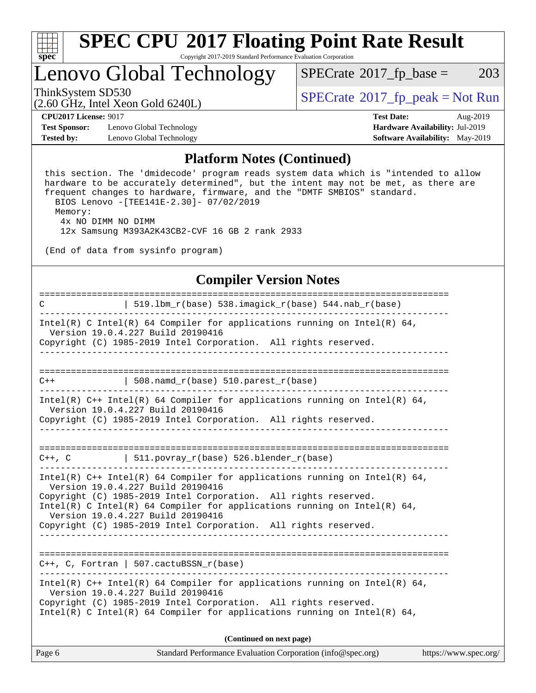

## Lenovo Global Technology

 $SPECTate@2017_fp\_base = 203$ 

(2.60 GHz, Intel Xeon Gold 6240L)

ThinkSystem SD530<br>  $\begin{array}{c}\n\text{SPECrate} \textcirc 2017\_fp\_peak = Not Run \\
\text{SPECrate} \textcirc 2017\_fp\_peak = Not Run\n\end{array}$  $\begin{array}{c}\n\text{SPECrate} \textcirc 2017\_fp\_peak = Not Run \\
\text{SPECrate} \textcirc 2017\_fp\_peak = Not Run\n\end{array}$  $\begin{array}{c}\n\text{SPECrate} \textcirc 2017\_fp\_peak = Not Run \\
\text{SPECrate} \textcirc 2017\_fp\_peak = Not Run\n\end{array}$ 

**[CPU2017 License:](http://www.spec.org/auto/cpu2017/Docs/result-fields.html#CPU2017License)** 9017 **[Test Date:](http://www.spec.org/auto/cpu2017/Docs/result-fields.html#TestDate)** Aug-2019

**[Test Sponsor:](http://www.spec.org/auto/cpu2017/Docs/result-fields.html#TestSponsor)** Lenovo Global Technology **[Hardware Availability:](http://www.spec.org/auto/cpu2017/Docs/result-fields.html#HardwareAvailability)** Jul-2019 **[Tested by:](http://www.spec.org/auto/cpu2017/Docs/result-fields.html#Testedby)** Lenovo Global Technology **[Software Availability:](http://www.spec.org/auto/cpu2017/Docs/result-fields.html#SoftwareAvailability)** May-2019

#### **[Platform Notes \(Continued\)](http://www.spec.org/auto/cpu2017/Docs/result-fields.html#PlatformNotes)**

 this section. The 'dmidecode' program reads system data which is "intended to allow hardware to be accurately determined", but the intent may not be met, as there are frequent changes to hardware, firmware, and the "DMTF SMBIOS" standard. BIOS Lenovo -[TEE141E-2.30]- 07/02/2019 Memory: 4x NO DIMM NO DIMM

12x Samsung M393A2K43CB2-CVF 16 GB 2 rank 2933

(End of data from sysinfo program)

#### **[Compiler Version Notes](http://www.spec.org/auto/cpu2017/Docs/result-fields.html#CompilerVersionNotes)**

| 519.1bm_r(base) 538.imagick_r(base) 544.nab_r(base)<br>$\mathcal{C}$                                                                                                                           |                       |
|------------------------------------------------------------------------------------------------------------------------------------------------------------------------------------------------|-----------------------|
| Intel(R) C Intel(R) 64 Compiler for applications running on Intel(R) 64,<br>Version 19.0.4.227 Build 20190416<br>Copyright (C) 1985-2019 Intel Corporation. All rights reserved.<br>__________ |                       |
|                                                                                                                                                                                                |                       |
| 508. $n$ amd_r(base) 510. $p$ arest_r(base)<br>$C++$<br>----------------------------                                                                                                           |                       |
| Intel(R) C++ Intel(R) 64 Compiler for applications running on Intel(R) 64,<br>Version 19.0.4.227 Build 20190416                                                                                |                       |
| Copyright (C) 1985-2019 Intel Corporation. All rights reserved.                                                                                                                                |                       |
|                                                                                                                                                                                                |                       |
|                                                                                                                                                                                                |                       |
| $C++$ , C $511.povray_r(base) 526.blender_r(base)$                                                                                                                                             |                       |
| Intel(R) C++ Intel(R) 64 Compiler for applications running on Intel(R) 64,<br>Version 19.0.4.227 Build 20190416                                                                                |                       |
| Copyright (C) 1985-2019 Intel Corporation. All rights reserved.<br>Intel(R) C Intel(R) 64 Compiler for applications running on Intel(R) 64,<br>Version 19.0.4.227 Build 20190416               |                       |
| Copyright (C) 1985-2019 Intel Corporation. All rights reserved.                                                                                                                                |                       |
|                                                                                                                                                                                                |                       |
| $C_{++}$ , C, Fortran   507.cactuBSSN_r(base)                                                                                                                                                  |                       |
| Intel(R) C++ Intel(R) 64 Compiler for applications running on Intel(R) 64,<br>Version 19.0.4.227 Build 20190416                                                                                |                       |
| Copyright (C) 1985-2019 Intel Corporation. All rights reserved.<br>Intel(R) C Intel(R) 64 Compiler for applications running on Intel(R) 64,                                                    |                       |
| (Continued on next page)                                                                                                                                                                       |                       |
| Page 6<br>Standard Performance Evaluation Corporation (info@spec.org)                                                                                                                          | https://www.spec.org/ |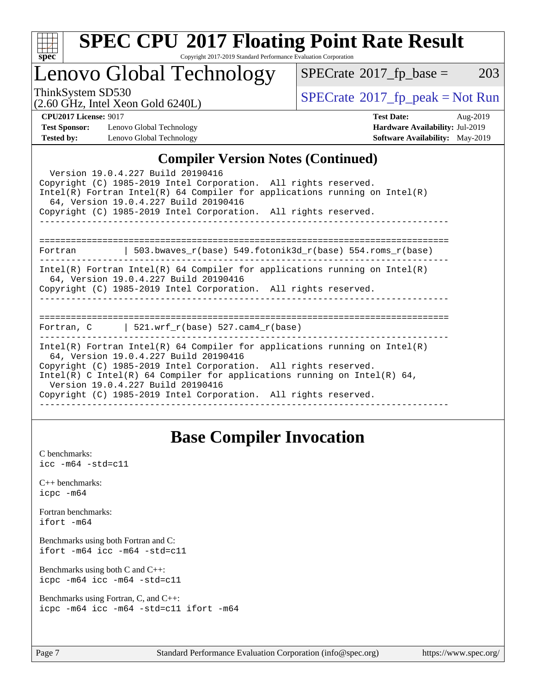

# **[SPEC CPU](http://www.spec.org/auto/cpu2017/Docs/result-fields.html#SPECCPU2017FloatingPointRateResult)[2017 Floating Point Rate Result](http://www.spec.org/auto/cpu2017/Docs/result-fields.html#SPECCPU2017FloatingPointRateResult)**

Copyright 2017-2019 Standard Performance Evaluation Corporation

## Lenovo Global Technology

 $SPECTate@2017_fp\_base = 203$ 

(2.60 GHz, Intel Xeon Gold 6240L)

 $SPECTate@2017<sub>fr</sub> peak = Not Run$ 

**[Test Sponsor:](http://www.spec.org/auto/cpu2017/Docs/result-fields.html#TestSponsor)** Lenovo Global Technology **[Hardware Availability:](http://www.spec.org/auto/cpu2017/Docs/result-fields.html#HardwareAvailability)** Jul-2019 **[Tested by:](http://www.spec.org/auto/cpu2017/Docs/result-fields.html#Testedby)** Lenovo Global Technology **[Software Availability:](http://www.spec.org/auto/cpu2017/Docs/result-fields.html#SoftwareAvailability)** May-2019

**[CPU2017 License:](http://www.spec.org/auto/cpu2017/Docs/result-fields.html#CPU2017License)** 9017 **[Test Date:](http://www.spec.org/auto/cpu2017/Docs/result-fields.html#TestDate)** Aug-2019

#### **[Compiler Version Notes \(Continued\)](http://www.spec.org/auto/cpu2017/Docs/result-fields.html#CompilerVersionNotes)**

| Version 19.0.4.227 Build 20190416<br>Copyright (C) 1985-2019 Intel Corporation. All rights reserved.<br>Intel(R) Fortran Intel(R) 64 Compiler for applications running on Intel(R)<br>64, Version 19.0.4.227 Build 20190416<br>Copyright (C) 1985-2019 Intel Corporation. All rights reserved.                                                                             |  |  |  |  |  |
|----------------------------------------------------------------------------------------------------------------------------------------------------------------------------------------------------------------------------------------------------------------------------------------------------------------------------------------------------------------------------|--|--|--|--|--|
| Fortran   503.bwaves_r(base) 549.fotonik3d_r(base) 554.roms_r(base)                                                                                                                                                                                                                                                                                                        |  |  |  |  |  |
| $Intel(R)$ Fortran Intel(R) 64 Compiler for applications running on Intel(R)<br>64, Version 19.0.4.227 Build 20190416<br>Copyright (C) 1985-2019 Intel Corporation. All rights reserved.                                                                                                                                                                                   |  |  |  |  |  |
| Fortran, $C$   521.wrf $r(base)$ 527.cam4 $r(base)$                                                                                                                                                                                                                                                                                                                        |  |  |  |  |  |
| Intel(R) Fortran Intel(R) 64 Compiler for applications running on Intel(R)<br>64, Version 19.0.4.227 Build 20190416<br>Copyright (C) 1985-2019 Intel Corporation. All rights reserved.<br>Intel(R) C Intel(R) 64 Compiler for applications running on Intel(R) 64,<br>Version 19.0.4.227 Build 20190416<br>Copyright (C) 1985-2019 Intel Corporation. All rights reserved. |  |  |  |  |  |

## **[Base Compiler Invocation](http://www.spec.org/auto/cpu2017/Docs/result-fields.html#BaseCompilerInvocation)**

[C benchmarks](http://www.spec.org/auto/cpu2017/Docs/result-fields.html#Cbenchmarks): [icc -m64 -std=c11](http://www.spec.org/cpu2017/results/res2019q3/cpu2017-20190903-17606.flags.html#user_CCbase_intel_icc_64bit_c11_33ee0cdaae7deeeab2a9725423ba97205ce30f63b9926c2519791662299b76a0318f32ddfffdc46587804de3178b4f9328c46fa7c2b0cd779d7a61945c91cd35)

[C++ benchmarks:](http://www.spec.org/auto/cpu2017/Docs/result-fields.html#CXXbenchmarks) [icpc -m64](http://www.spec.org/cpu2017/results/res2019q3/cpu2017-20190903-17606.flags.html#user_CXXbase_intel_icpc_64bit_4ecb2543ae3f1412ef961e0650ca070fec7b7afdcd6ed48761b84423119d1bf6bdf5cad15b44d48e7256388bc77273b966e5eb805aefd121eb22e9299b2ec9d9)

[Fortran benchmarks](http://www.spec.org/auto/cpu2017/Docs/result-fields.html#Fortranbenchmarks): [ifort -m64](http://www.spec.org/cpu2017/results/res2019q3/cpu2017-20190903-17606.flags.html#user_FCbase_intel_ifort_64bit_24f2bb282fbaeffd6157abe4f878425411749daecae9a33200eee2bee2fe76f3b89351d69a8130dd5949958ce389cf37ff59a95e7a40d588e8d3a57e0c3fd751)

[Benchmarks using both Fortran and C](http://www.spec.org/auto/cpu2017/Docs/result-fields.html#BenchmarksusingbothFortranandC): [ifort -m64](http://www.spec.org/cpu2017/results/res2019q3/cpu2017-20190903-17606.flags.html#user_CC_FCbase_intel_ifort_64bit_24f2bb282fbaeffd6157abe4f878425411749daecae9a33200eee2bee2fe76f3b89351d69a8130dd5949958ce389cf37ff59a95e7a40d588e8d3a57e0c3fd751) [icc -m64 -std=c11](http://www.spec.org/cpu2017/results/res2019q3/cpu2017-20190903-17606.flags.html#user_CC_FCbase_intel_icc_64bit_c11_33ee0cdaae7deeeab2a9725423ba97205ce30f63b9926c2519791662299b76a0318f32ddfffdc46587804de3178b4f9328c46fa7c2b0cd779d7a61945c91cd35)

[Benchmarks using both C and C++](http://www.spec.org/auto/cpu2017/Docs/result-fields.html#BenchmarksusingbothCandCXX): [icpc -m64](http://www.spec.org/cpu2017/results/res2019q3/cpu2017-20190903-17606.flags.html#user_CC_CXXbase_intel_icpc_64bit_4ecb2543ae3f1412ef961e0650ca070fec7b7afdcd6ed48761b84423119d1bf6bdf5cad15b44d48e7256388bc77273b966e5eb805aefd121eb22e9299b2ec9d9) [icc -m64 -std=c11](http://www.spec.org/cpu2017/results/res2019q3/cpu2017-20190903-17606.flags.html#user_CC_CXXbase_intel_icc_64bit_c11_33ee0cdaae7deeeab2a9725423ba97205ce30f63b9926c2519791662299b76a0318f32ddfffdc46587804de3178b4f9328c46fa7c2b0cd779d7a61945c91cd35)

[Benchmarks using Fortran, C, and C++:](http://www.spec.org/auto/cpu2017/Docs/result-fields.html#BenchmarksusingFortranCandCXX) [icpc -m64](http://www.spec.org/cpu2017/results/res2019q3/cpu2017-20190903-17606.flags.html#user_CC_CXX_FCbase_intel_icpc_64bit_4ecb2543ae3f1412ef961e0650ca070fec7b7afdcd6ed48761b84423119d1bf6bdf5cad15b44d48e7256388bc77273b966e5eb805aefd121eb22e9299b2ec9d9) [icc -m64 -std=c11](http://www.spec.org/cpu2017/results/res2019q3/cpu2017-20190903-17606.flags.html#user_CC_CXX_FCbase_intel_icc_64bit_c11_33ee0cdaae7deeeab2a9725423ba97205ce30f63b9926c2519791662299b76a0318f32ddfffdc46587804de3178b4f9328c46fa7c2b0cd779d7a61945c91cd35) [ifort -m64](http://www.spec.org/cpu2017/results/res2019q3/cpu2017-20190903-17606.flags.html#user_CC_CXX_FCbase_intel_ifort_64bit_24f2bb282fbaeffd6157abe4f878425411749daecae9a33200eee2bee2fe76f3b89351d69a8130dd5949958ce389cf37ff59a95e7a40d588e8d3a57e0c3fd751)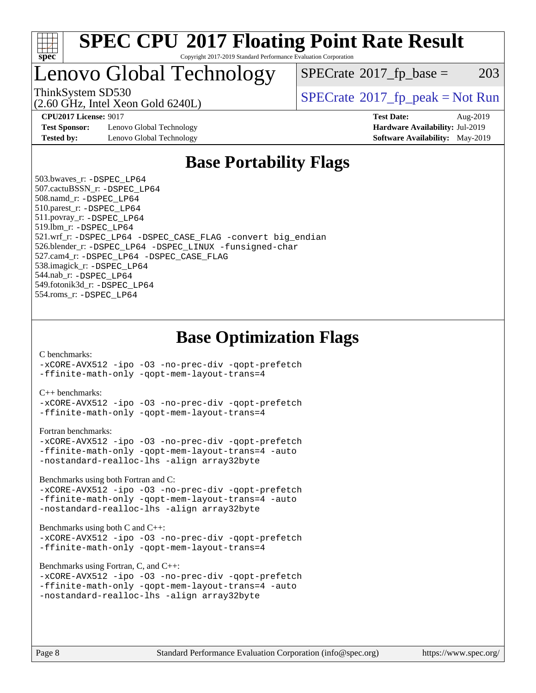

## Lenovo Global Technology

 $SPECTate@2017_fp\_base = 203$ 

(2.60 GHz, Intel Xeon Gold 6240L)

ThinkSystem SD530<br>  $SPECTI<sub>2</sub>$  [SPECrate](http://www.spec.org/auto/cpu2017/Docs/result-fields.html#SPECrate2017fppeak)®[2017\\_fp\\_peak = N](http://www.spec.org/auto/cpu2017/Docs/result-fields.html#SPECrate2017fppeak)ot Run

**[Test Sponsor:](http://www.spec.org/auto/cpu2017/Docs/result-fields.html#TestSponsor)** Lenovo Global Technology **[Hardware Availability:](http://www.spec.org/auto/cpu2017/Docs/result-fields.html#HardwareAvailability)** Jul-2019 **[Tested by:](http://www.spec.org/auto/cpu2017/Docs/result-fields.html#Testedby)** Lenovo Global Technology **[Software Availability:](http://www.spec.org/auto/cpu2017/Docs/result-fields.html#SoftwareAvailability)** May-2019

**[CPU2017 License:](http://www.spec.org/auto/cpu2017/Docs/result-fields.html#CPU2017License)** 9017 **[Test Date:](http://www.spec.org/auto/cpu2017/Docs/result-fields.html#TestDate)** Aug-2019

## **[Base Portability Flags](http://www.spec.org/auto/cpu2017/Docs/result-fields.html#BasePortabilityFlags)**

 503.bwaves\_r: [-DSPEC\\_LP64](http://www.spec.org/cpu2017/results/res2019q3/cpu2017-20190903-17606.flags.html#suite_basePORTABILITY503_bwaves_r_DSPEC_LP64) 507.cactuBSSN\_r: [-DSPEC\\_LP64](http://www.spec.org/cpu2017/results/res2019q3/cpu2017-20190903-17606.flags.html#suite_basePORTABILITY507_cactuBSSN_r_DSPEC_LP64) 508.namd\_r: [-DSPEC\\_LP64](http://www.spec.org/cpu2017/results/res2019q3/cpu2017-20190903-17606.flags.html#suite_basePORTABILITY508_namd_r_DSPEC_LP64) 510.parest\_r: [-DSPEC\\_LP64](http://www.spec.org/cpu2017/results/res2019q3/cpu2017-20190903-17606.flags.html#suite_basePORTABILITY510_parest_r_DSPEC_LP64) 511.povray\_r: [-DSPEC\\_LP64](http://www.spec.org/cpu2017/results/res2019q3/cpu2017-20190903-17606.flags.html#suite_basePORTABILITY511_povray_r_DSPEC_LP64) 519.lbm\_r: [-DSPEC\\_LP64](http://www.spec.org/cpu2017/results/res2019q3/cpu2017-20190903-17606.flags.html#suite_basePORTABILITY519_lbm_r_DSPEC_LP64) 521.wrf\_r: [-DSPEC\\_LP64](http://www.spec.org/cpu2017/results/res2019q3/cpu2017-20190903-17606.flags.html#suite_basePORTABILITY521_wrf_r_DSPEC_LP64) [-DSPEC\\_CASE\\_FLAG](http://www.spec.org/cpu2017/results/res2019q3/cpu2017-20190903-17606.flags.html#b521.wrf_r_baseCPORTABILITY_DSPEC_CASE_FLAG) [-convert big\\_endian](http://www.spec.org/cpu2017/results/res2019q3/cpu2017-20190903-17606.flags.html#user_baseFPORTABILITY521_wrf_r_convert_big_endian_c3194028bc08c63ac5d04de18c48ce6d347e4e562e8892b8bdbdc0214820426deb8554edfa529a3fb25a586e65a3d812c835984020483e7e73212c4d31a38223) 526.blender\_r: [-DSPEC\\_LP64](http://www.spec.org/cpu2017/results/res2019q3/cpu2017-20190903-17606.flags.html#suite_basePORTABILITY526_blender_r_DSPEC_LP64) [-DSPEC\\_LINUX](http://www.spec.org/cpu2017/results/res2019q3/cpu2017-20190903-17606.flags.html#b526.blender_r_baseCPORTABILITY_DSPEC_LINUX) [-funsigned-char](http://www.spec.org/cpu2017/results/res2019q3/cpu2017-20190903-17606.flags.html#user_baseCPORTABILITY526_blender_r_force_uchar_40c60f00ab013830e2dd6774aeded3ff59883ba5a1fc5fc14077f794d777847726e2a5858cbc7672e36e1b067e7e5c1d9a74f7176df07886a243d7cc18edfe67) 527.cam4\_r: [-DSPEC\\_LP64](http://www.spec.org/cpu2017/results/res2019q3/cpu2017-20190903-17606.flags.html#suite_basePORTABILITY527_cam4_r_DSPEC_LP64) [-DSPEC\\_CASE\\_FLAG](http://www.spec.org/cpu2017/results/res2019q3/cpu2017-20190903-17606.flags.html#b527.cam4_r_baseCPORTABILITY_DSPEC_CASE_FLAG) 538.imagick\_r: [-DSPEC\\_LP64](http://www.spec.org/cpu2017/results/res2019q3/cpu2017-20190903-17606.flags.html#suite_basePORTABILITY538_imagick_r_DSPEC_LP64) 544.nab\_r: [-DSPEC\\_LP64](http://www.spec.org/cpu2017/results/res2019q3/cpu2017-20190903-17606.flags.html#suite_basePORTABILITY544_nab_r_DSPEC_LP64) 549.fotonik3d\_r: [-DSPEC\\_LP64](http://www.spec.org/cpu2017/results/res2019q3/cpu2017-20190903-17606.flags.html#suite_basePORTABILITY549_fotonik3d_r_DSPEC_LP64) 554.roms\_r: [-DSPEC\\_LP64](http://www.spec.org/cpu2017/results/res2019q3/cpu2017-20190903-17606.flags.html#suite_basePORTABILITY554_roms_r_DSPEC_LP64)

**[Base Optimization Flags](http://www.spec.org/auto/cpu2017/Docs/result-fields.html#BaseOptimizationFlags)**

[C benchmarks](http://www.spec.org/auto/cpu2017/Docs/result-fields.html#Cbenchmarks):

[-xCORE-AVX512](http://www.spec.org/cpu2017/results/res2019q3/cpu2017-20190903-17606.flags.html#user_CCbase_f-xCORE-AVX512) [-ipo](http://www.spec.org/cpu2017/results/res2019q3/cpu2017-20190903-17606.flags.html#user_CCbase_f-ipo) [-O3](http://www.spec.org/cpu2017/results/res2019q3/cpu2017-20190903-17606.flags.html#user_CCbase_f-O3) [-no-prec-div](http://www.spec.org/cpu2017/results/res2019q3/cpu2017-20190903-17606.flags.html#user_CCbase_f-no-prec-div) [-qopt-prefetch](http://www.spec.org/cpu2017/results/res2019q3/cpu2017-20190903-17606.flags.html#user_CCbase_f-qopt-prefetch) [-ffinite-math-only](http://www.spec.org/cpu2017/results/res2019q3/cpu2017-20190903-17606.flags.html#user_CCbase_f_finite_math_only_cb91587bd2077682c4b38af759c288ed7c732db004271a9512da14a4f8007909a5f1427ecbf1a0fb78ff2a814402c6114ac565ca162485bbcae155b5e4258871) [-qopt-mem-layout-trans=4](http://www.spec.org/cpu2017/results/res2019q3/cpu2017-20190903-17606.flags.html#user_CCbase_f-qopt-mem-layout-trans_fa39e755916c150a61361b7846f310bcdf6f04e385ef281cadf3647acec3f0ae266d1a1d22d972a7087a248fd4e6ca390a3634700869573d231a252c784941a8)

[C++ benchmarks:](http://www.spec.org/auto/cpu2017/Docs/result-fields.html#CXXbenchmarks)

[-xCORE-AVX512](http://www.spec.org/cpu2017/results/res2019q3/cpu2017-20190903-17606.flags.html#user_CXXbase_f-xCORE-AVX512) [-ipo](http://www.spec.org/cpu2017/results/res2019q3/cpu2017-20190903-17606.flags.html#user_CXXbase_f-ipo) [-O3](http://www.spec.org/cpu2017/results/res2019q3/cpu2017-20190903-17606.flags.html#user_CXXbase_f-O3) [-no-prec-div](http://www.spec.org/cpu2017/results/res2019q3/cpu2017-20190903-17606.flags.html#user_CXXbase_f-no-prec-div) [-qopt-prefetch](http://www.spec.org/cpu2017/results/res2019q3/cpu2017-20190903-17606.flags.html#user_CXXbase_f-qopt-prefetch) [-ffinite-math-only](http://www.spec.org/cpu2017/results/res2019q3/cpu2017-20190903-17606.flags.html#user_CXXbase_f_finite_math_only_cb91587bd2077682c4b38af759c288ed7c732db004271a9512da14a4f8007909a5f1427ecbf1a0fb78ff2a814402c6114ac565ca162485bbcae155b5e4258871) [-qopt-mem-layout-trans=4](http://www.spec.org/cpu2017/results/res2019q3/cpu2017-20190903-17606.flags.html#user_CXXbase_f-qopt-mem-layout-trans_fa39e755916c150a61361b7846f310bcdf6f04e385ef281cadf3647acec3f0ae266d1a1d22d972a7087a248fd4e6ca390a3634700869573d231a252c784941a8)

[Fortran benchmarks](http://www.spec.org/auto/cpu2017/Docs/result-fields.html#Fortranbenchmarks):

```
-xCORE-AVX512 -ipo -O3 -no-prec-div -qopt-prefetch
-ffinite-math-only -qopt-mem-layout-trans=4 -auto
-nostandard-realloc-lhs -align array32byte
```
[Benchmarks using both Fortran and C](http://www.spec.org/auto/cpu2017/Docs/result-fields.html#BenchmarksusingbothFortranandC):

[-xCORE-AVX512](http://www.spec.org/cpu2017/results/res2019q3/cpu2017-20190903-17606.flags.html#user_CC_FCbase_f-xCORE-AVX512) [-ipo](http://www.spec.org/cpu2017/results/res2019q3/cpu2017-20190903-17606.flags.html#user_CC_FCbase_f-ipo) [-O3](http://www.spec.org/cpu2017/results/res2019q3/cpu2017-20190903-17606.flags.html#user_CC_FCbase_f-O3) [-no-prec-div](http://www.spec.org/cpu2017/results/res2019q3/cpu2017-20190903-17606.flags.html#user_CC_FCbase_f-no-prec-div) [-qopt-prefetch](http://www.spec.org/cpu2017/results/res2019q3/cpu2017-20190903-17606.flags.html#user_CC_FCbase_f-qopt-prefetch) [-ffinite-math-only](http://www.spec.org/cpu2017/results/res2019q3/cpu2017-20190903-17606.flags.html#user_CC_FCbase_f_finite_math_only_cb91587bd2077682c4b38af759c288ed7c732db004271a9512da14a4f8007909a5f1427ecbf1a0fb78ff2a814402c6114ac565ca162485bbcae155b5e4258871) [-qopt-mem-layout-trans=4](http://www.spec.org/cpu2017/results/res2019q3/cpu2017-20190903-17606.flags.html#user_CC_FCbase_f-qopt-mem-layout-trans_fa39e755916c150a61361b7846f310bcdf6f04e385ef281cadf3647acec3f0ae266d1a1d22d972a7087a248fd4e6ca390a3634700869573d231a252c784941a8) [-auto](http://www.spec.org/cpu2017/results/res2019q3/cpu2017-20190903-17606.flags.html#user_CC_FCbase_f-auto) [-nostandard-realloc-lhs](http://www.spec.org/cpu2017/results/res2019q3/cpu2017-20190903-17606.flags.html#user_CC_FCbase_f_2003_std_realloc_82b4557e90729c0f113870c07e44d33d6f5a304b4f63d4c15d2d0f1fab99f5daaed73bdb9275d9ae411527f28b936061aa8b9c8f2d63842963b95c9dd6426b8a) [-align array32byte](http://www.spec.org/cpu2017/results/res2019q3/cpu2017-20190903-17606.flags.html#user_CC_FCbase_align_array32byte_b982fe038af199962ba9a80c053b8342c548c85b40b8e86eb3cc33dee0d7986a4af373ac2d51c3f7cf710a18d62fdce2948f201cd044323541f22fc0fffc51b6)

[Benchmarks using both C and C++](http://www.spec.org/auto/cpu2017/Docs/result-fields.html#BenchmarksusingbothCandCXX):

[-xCORE-AVX512](http://www.spec.org/cpu2017/results/res2019q3/cpu2017-20190903-17606.flags.html#user_CC_CXXbase_f-xCORE-AVX512) [-ipo](http://www.spec.org/cpu2017/results/res2019q3/cpu2017-20190903-17606.flags.html#user_CC_CXXbase_f-ipo) [-O3](http://www.spec.org/cpu2017/results/res2019q3/cpu2017-20190903-17606.flags.html#user_CC_CXXbase_f-O3) [-no-prec-div](http://www.spec.org/cpu2017/results/res2019q3/cpu2017-20190903-17606.flags.html#user_CC_CXXbase_f-no-prec-div) [-qopt-prefetch](http://www.spec.org/cpu2017/results/res2019q3/cpu2017-20190903-17606.flags.html#user_CC_CXXbase_f-qopt-prefetch) [-ffinite-math-only](http://www.spec.org/cpu2017/results/res2019q3/cpu2017-20190903-17606.flags.html#user_CC_CXXbase_f_finite_math_only_cb91587bd2077682c4b38af759c288ed7c732db004271a9512da14a4f8007909a5f1427ecbf1a0fb78ff2a814402c6114ac565ca162485bbcae155b5e4258871) [-qopt-mem-layout-trans=4](http://www.spec.org/cpu2017/results/res2019q3/cpu2017-20190903-17606.flags.html#user_CC_CXXbase_f-qopt-mem-layout-trans_fa39e755916c150a61361b7846f310bcdf6f04e385ef281cadf3647acec3f0ae266d1a1d22d972a7087a248fd4e6ca390a3634700869573d231a252c784941a8)

[Benchmarks using Fortran, C, and C++:](http://www.spec.org/auto/cpu2017/Docs/result-fields.html#BenchmarksusingFortranCandCXX)

```
-xCORE-AVX512 -ipo -O3 -no-prec-div -qopt-prefetch
-ffinite-math-only -qopt-mem-layout-trans=4 -auto
-nostandard-realloc-lhs -align array32byte
```